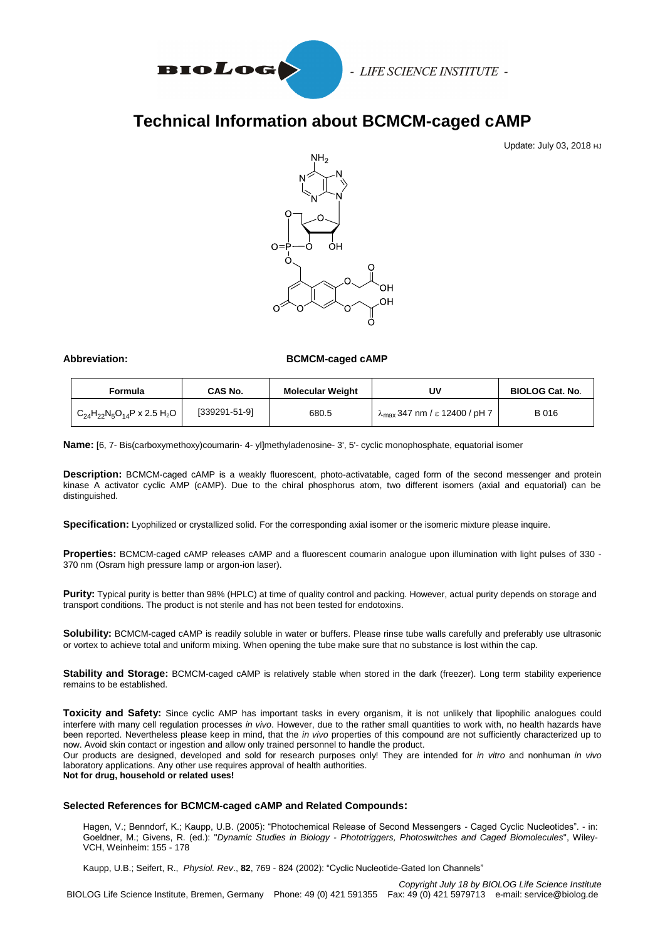

# **Technical Information about BCMCM-caged cAMP**

Update: July 03, 2018 HJ



### Abbreviation: BCMCM-caged cAMP

| Formula                                  | <b>CAS No.</b> | <b>Molecular Weight</b> | U٧                                             | <b>BIOLOG Cat. No.</b> |
|------------------------------------------|----------------|-------------------------|------------------------------------------------|------------------------|
| $C_{24}H_{22}N_5O_{14}P \times 2.5 H_2O$ | [339291-51-9]  | 680.5                   | $\lambda_{\text{max}}$ 347 nm / ε 12400 / pH 7 | B 016                  |

**Name:** [6, 7- Bis(carboxymethoxy)coumarin- 4- yl]methyladenosine- 3', 5'- cyclic monophosphate, equatorial isomer

**Description:** BCMCM-caged cAMP is a weakly fluorescent, photo-activatable, caged form of the second messenger and protein kinase A activator cyclic AMP (cAMP). Due to the chiral phosphorus atom, two different isomers (axial and equatorial) can be distinguished.

Specification: Lyophilized or crystallized solid. For the corresponding axial isomer or the isomeric mixture please inquire.

**Properties:** BCMCM-caged cAMP releases cAMP and a fluorescent coumarin analogue upon illumination with light pulses of 330 - 370 nm (Osram high pressure lamp or argon-ion laser).

**Purity:** Typical purity is better than 98% (HPLC) at time of quality control and packing. However, actual purity depends on storage and transport conditions. The product is not sterile and has not been tested for endotoxins.

**Solubility:** BCMCM-caged cAMP is readily soluble in water or buffers. Please rinse tube walls carefully and preferably use ultrasonic or vortex to achieve total and uniform mixing. When opening the tube make sure that no substance is lost within the cap.

**Stability and Storage:** BCMCM-caged cAMP is relatively stable when stored in the dark (freezer). Long term stability experience remains to be established.

**Toxicity and Safety:** Since cyclic AMP has important tasks in every organism, it is not unlikely that lipophilic analogues could interfere with many cell regulation processes *in vivo*. However, due to the rather small quantities to work with, no health hazards have been reported. Nevertheless please keep in mind, that the *in vivo* properties of this compound are not sufficiently characterized up to now. Avoid skin contact or ingestion and allow only trained personnel to handle the product.

Our products are designed, developed and sold for research purposes only! They are intended for *in vitro* and nonhuman *in vivo*  laboratory applications. Any other use requires approval of health authorities.

**Not for drug, household or related uses!**

#### **Selected References for BCMCM-caged cAMP and Related Compounds:**

Hagen, V.; Benndorf, K.; Kaupp, U.B. (2005): "Photochemical Release of Second Messengers - Caged Cyclic Nucleotides". - in: Goeldner, M.; Givens, R. (ed.): "*Dynamic Studies in Biology - Phototriggers, Photoswitches and Caged Biomolecules*", Wiley-VCH, Weinheim: 155 - 178

Kaupp, U.B.; Seifert, R., *Physiol. Rev*., **82**, 769 - 824 (2002): "Cyclic Nucleotide-Gated Ion Channels"

*Copyright July 18 by BIOLOG Life Science Institute* BIOLOG Life Science Institute, Bremen, Germany Phone: 49 (0) 421 591355 Fax: 49 (0) 421 5979713 e-mail: service@biolog.de